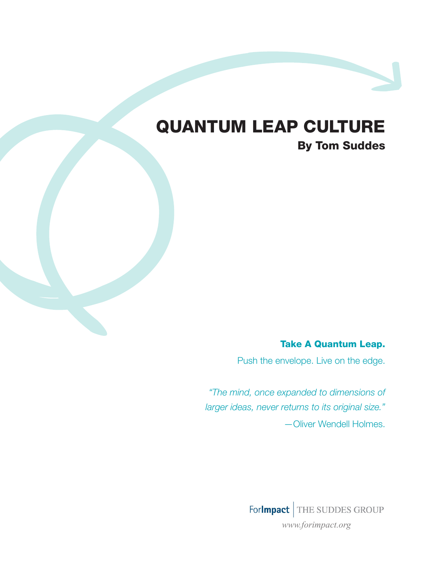# Quantum Leap Culture

By Tom Suddes

Take A Quantum Leap.

Push the envelope. Live on the edge.

*"The mind, once expanded to dimensions of larger ideas, never returns to its original size."* —Oliver Wendell Holmes.

> ForImpact THE SUDDES GROUP *www.forimpact.org*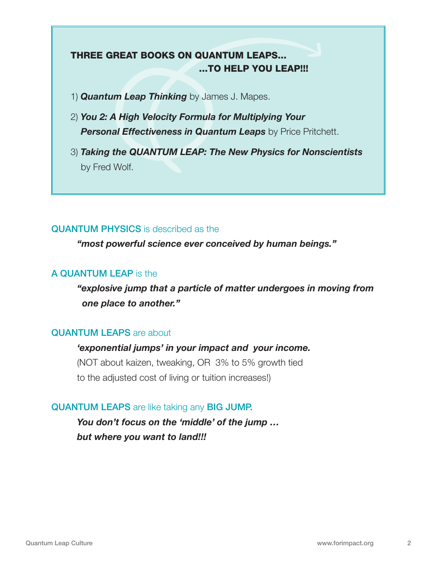# Three Great books on Quantum Leaps... ...to help you LEAP!!!

- 1) *Quantum Leap Thinking* by James J. Mapes.
- 2) *You 2: A High Velocity Formula for Multiplying Your Personal Effectiveness in Quantum Leaps* by Price Pritchett.
- 3) *Taking the QUANTUM LEAP: The New Physics for Nonscientists*  by Fred Wolf.

### QUANTUM PHYSICS is described as the

*"most powerful science ever conceived by human beings."*

### A QUANTUM LEAP is the

*"explosive jump that a particle of matter undergoes in moving from one place to another."*

# QUANTUM LEAPS are about

#### *'exponential jumps' in your impact and your income.*

(NOT about kaizen, tweaking, OR 3% to 5% growth tied to the adjusted cost of living or tuition increases!)

# QUANTUM LEAPS are like taking any BIG JUMP.

*You don't focus on the 'middle' of the jump … but where you want to land!!!*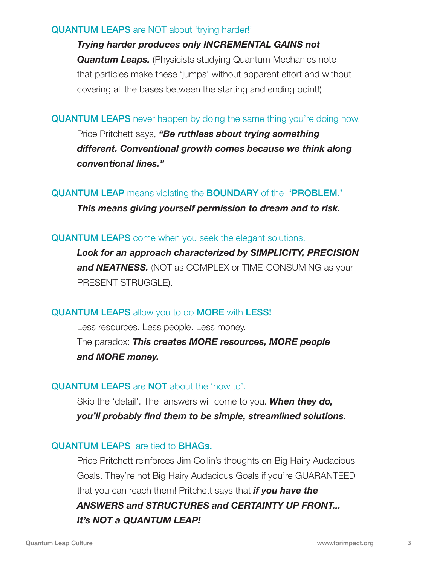#### QUANTUM LEAPS are NOT about 'trying harder!'

*Trying harder produces only INCREMENTAL GAINS not*  **Quantum Leaps.** (Physicists studying Quantum Mechanics note that particles make these 'jumps' without apparent effort and without covering all the bases between the starting and ending point!)

#### **QUANTUM LEAPS** never happen by doing the same thing you're doing now.

Price Pritchett says, *"Be ruthless about trying something different. Conventional growth comes because we think along conventional lines."*

QUANTUM LEAP means violating the BOUNDARY of the 'PROBLEM.'

*This means giving yourself permission to dream and to risk.* 

### QUANTUM LEAPS come when you seek the elegant solutions.

*Look for an approach characterized by SIMPLICITY, PRECISION*  **and NEATNESS.** (NOT as COMPLEX or TIME-CONSUMING as your PRESENT STRUGGLE).

# QUANTUM LEAPS allow you to do MORE with LESS!

Less resources. Less people. Less money. The paradox: *This creates MORE resources, MORE people and MORE money.*

# QUANTUM LEAPS are NOT about the 'how to'.

Skip the 'detail'. The answers will come to you. *When they do, you'll probably find them to be simple, streamlined solutions.*

# QUANTUM LEAPS are tied to BHAGs.

Price Pritchett reinforces Jim Collin's thoughts on Big Hairy Audacious Goals. They're not Big Hairy Audacious Goals if you're GUARANTEED that you can reach them! Pritchett says that *if you have the ANSWERS and STRUCTURES and CERTAINTY UP FRONT... It's NOT a QUANTUM LEAP!*